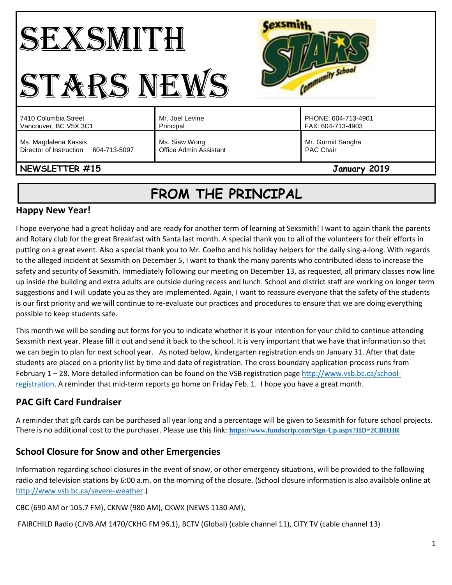#### Cexsmith SEXSMITH Community School STARS NEWS Mr. Joel Levine PHONE: 604-713-4901 7410 Columbia Street Vancouver, BC V5X 3C1 Principal FAX: 604-713-4903 Ms. Magdalena Kassis Ms. Siaw Wong Mr. Gurmit Sangha Director of Instruction 604-713-5097 Office Admin Assistant PAC Chair **NEWSLETTER #15** January 2019

# **FROM THE PRINCIPAL**

# **Happy New Year!**

I hope everyone had a great holiday and are ready for another term of learning at Sexsmith! I want to again thank the parents and Rotary club for the great Breakfast with Santa last month. A special thank you to all of the volunteers for their efforts in putting on a great event. Also a special thank you to Mr. Coelho and his holiday helpers for the daily sing-a-long. With regards to the alleged incident at Sexsmith on December 5, I want to thank the many parents who contributed ideas to increase the safety and security of Sexsmith. Immediately following our meeting on December 13, as requested, all primary classes now line up inside the building and extra adults are outside during recess and lunch. School and district staff are working on longer term suggestions and I will update you as they are implemented. Again, I want to reassure everyone that the safety of the students is our first priority and we will continue to re-evaluate our practices and procedures to ensure that we are doing everything possible to keep students safe.

This month we will be sending out forms for you to indicate whether it is your intention for your child to continue attending Sexsmith next year. Please fill it out and send it back to the school. It is very important that we have that information so that we can begin to plan for next school year. As noted below, kindergarten registration ends on January 31. After that date students are placed on a priority list by time and date of registration. The cross boundary application process runs from February 1 – 28. More detailed information can be found on the VSB registration page [http://www.vsb.bc.ca/school](http://www.vsb.bc.ca/school-registration)[registration.](http://www.vsb.bc.ca/school-registration) A reminder that mid-term reports go home on Friday Feb. 1. I hope you have a great month.

# **PAC Gift Card Fundraiser**

A reminder that gift cards can be purchased all year long and a percentage will be given to Sexsmith for future school projects. There is no additional cost to the purchaser. Please use this link: **<https://www.fundscrip.com/Sign-Up.aspx?IID=2CBHHR>**

# **School Closure for Snow and other Emergencies**

Information regarding school closures in the event of snow, or other emergency situations, will be provided to the following radio and television stations by 6:00 a.m. on the morning of the closure. (School closure information is also available online at [http://www.vsb.bc.ca/severe-weather.](http://www.vsb.bc.ca/severe-weather))

CBC (690 AM or 105.7 FM), CKNW (980 AM), CKWX (NEWS 1130 AM),

FAIRCHILD Radio (CJVB AM 1470/CKHG FM 96.1), BCTV (Global) (cable channel 11), CITY TV (cable channel 13)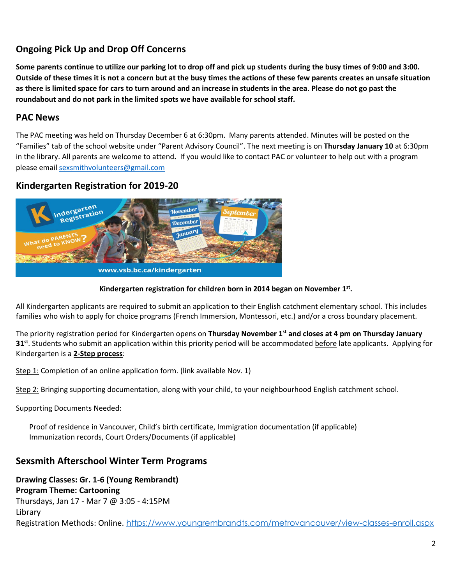# **Ongoing Pick Up and Drop Off Concerns**

**Some parents continue to utilize our parking lot to drop off and pick up students during the busy times of 9:00 and 3:00. Outside of these times it is not a concern but at the busy times the actions of these few parents creates an unsafe situation as there is limited space for cars to turn around and an increase in students in the area. Please do not go past the roundabout and do not park in the limited spots we have available for school staff.** 

# **PAC News**

The PAC meeting was held on Thursday December 6 at 6:30pm. Many parents attended. Minutes will be posted on the "Families" tab of the school website under "Parent Advisory Council". The next meeting is on **Thursday January 10** at 6:30pm in the library. All parents are welcome to attend**.** If you would like to contact PAC or volunteer to help out with a program please email [sexsmithvolunteers@gmail.com](mailto:sexsmithvolunteers@gmail.com)

# **Kindergarten Registration for 2019-20**



## **Kindergarten registration for children born in 2014 began on November 1st .**

All Kindergarten applicants are required to submit an application to their English catchment elementary school. This includes families who wish to apply for choice programs (French Immersion, Montessori, etc.) and/or a cross boundary placement.

The priority registration period for Kindergarten opens on **Thursday November 1st and closes at 4 pm on Thursday January 31st**. Students who submit an application within this priority period will be accommodated before late applicants. Applying for Kindergarten is a **2-Step process**:

Step 1: Completion of an online application form. (link available Nov. 1)

Step 2: Bringing supporting documentation, along with your child, to your neighbourhood English catchment school.

Supporting Documents Needed:

Proof of residence in Vancouver, Child's birth certificate, Immigration documentation (if applicable) Immunization records, Court Orders/Documents (if applicable)

## **Sexsmith Afterschool Winter Term Programs**

**Drawing Classes: Gr. 1-6 (Young Rembrandt)**

**Program Theme: Cartooning**

Thursdays, Jan 17 - Mar 7 @ 3:05 - 4:15PM Library Registration Methods: Online. <https://www.youngrembrandts.com/metrovancouver/view-classes-enroll.aspx>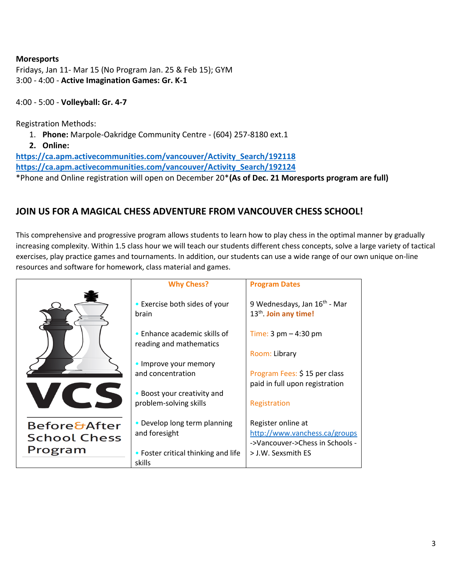#### **Moresports**

Fridays, Jan 11- Mar 15 (No Program Jan. 25 & Feb 15); GYM 3:00 - 4:00 - **Active Imagination Games: Gr. K-1**

4:00 - 5:00 - **Volleyball: Gr. 4-7**

Registration Methods:

- 1. **Phone:** Marpole-Oakridge Community Centre (604) 257-8180 ext.1
- **2. Online:**

**[https://ca.apm.activecommunities.com/vancouver/Activity\\_Search/192118](https://ca.apm.activecommunities.com/vancouver/Activity_Search/192118) [https://ca.apm.activecommunities.com/vancouver/Activity\\_Search/192124](https://ca.apm.activecommunities.com/vancouver/Activity_Search/192124)** \*Phone and Online registration will open on December 20\***(As of Dec. 21 Moresports program are full)**

# **JOIN US FOR A MAGICAL CHESS ADVENTURE FROM VANCOUVER CHESS SCHOOL!**

This comprehensive and progressive program allows students to learn how to play chess in the optimal manner by gradually increasing complexity. Within 1.5 class hour we will teach our students different chess concepts, solve a large variety of tactical exercises, play practice games and tournaments. In addition, our students can use a wide range of our own unique on-line resources and software for homework, class material and games.

|                         | <b>Why Chess?</b>                                       | <b>Program Dates</b>                                                          |
|-------------------------|---------------------------------------------------------|-------------------------------------------------------------------------------|
|                         | • Exercise both sides of your<br>brain                  | 9 Wednesdays, Jan 16 <sup>th</sup> - Mar<br>13 <sup>th</sup> . Join any time! |
|                         | • Enhance academic skills of<br>reading and mathematics | Time: $3 \text{ pm} - 4:30 \text{ pm}$                                        |
|                         |                                                         | Room: Library                                                                 |
|                         | • Improve your memory<br>and concentration              | Program Fees: \$15 per class                                                  |
|                         |                                                         | paid in full upon registration                                                |
|                         | Boost your creativity and<br>problem-solving skills     | Registration                                                                  |
| <b>Before&amp;After</b> | • Develop long term planning                            | Register online at                                                            |
| <b>School Chess</b>     | and foresight                                           | http://www.vanchess.ca/groups<br>->Vancouver->Chess in Schools -              |
| Program                 | • Foster critical thinking and life                     | > J.W. Sexsmith ES                                                            |
|                         | skills                                                  |                                                                               |